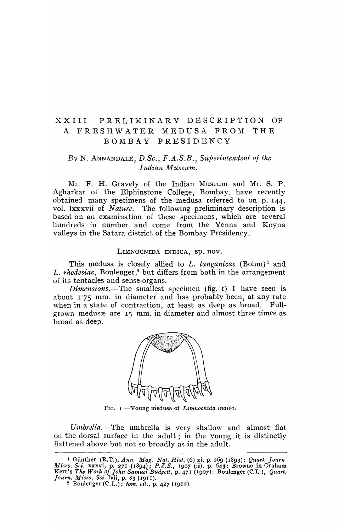## XXIII PRELIMINARY DESCRIPTION OF A FRESHWATER MEDUSA FROM THE BOMBAY PRESIDENCY

## *By* N. ANNANDALE, *D.Se." F.A.S.B., Superintendent of the Indian Museum.*

Mr. F. H. Gravely of the Indian Museum and Mr. S. P. Agharkar of the Elphinstone College, Bombay, have recently obtained many specimens of the medusa referred to on p. I44, vol. lxxxvii of *Nature.* The following preliminary description is based on an examination of these specimens, which are several hundreds in number and come from the Yenna and Koyna valleys in the Satara district of the Bombay Presidency.

## LIMNOCNIDA INDICA, Sp. nov.

This medusa is closely allied to *L. tanganicae* (Bohm)<sup>1</sup> and L. rhodesiae, Boulenger,<sup>2</sup> but differs from both in the arrangement of its tentacles and sense-organs.

*Dimensions.*—The smallest specimen (fig. 1) I have seen is about 1'75 mm. in diameter and has probably been, at any rate when in a state of contraction, at least as deep as broad. Fullgrown medusæ are 15 mm. in diameter and almost three times as broad as deep.



FIG. 1 -Young medusa of *Limnocnida indica*.

Umbrella.-The umbrella is very shallow and almost flat on the dorsal surface in the adult; in the young it is distinctly flattened above but not so broadly as in the adult.

<sup>1</sup>Gunther (R.T.), *Ann. Mag. Nat. Hist.* (6) xi, p. 269 (1893); *Quart. Journ. Micro. Sci. xxxvi, p. 271 (1894); P.Z.S., 1907 (ii), p. 643; Browne in Graham* Kerr's *The Work of John Samuel Budgett*, p. 471 (1907); Boulenger (C.L.), *Quart. Journ. Micro.* Sci.lvii,p. 83 (1911).

<sup>2</sup> Boulenger  $(C, I_n)$ ; *tom. cit.*, p. 427 (1912).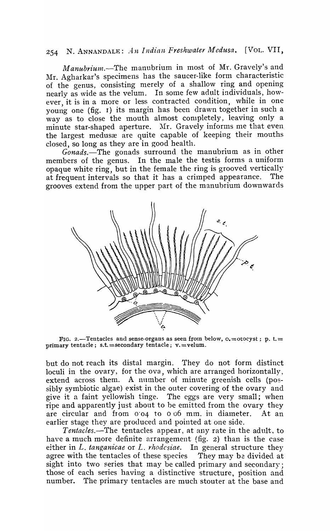## 254 N. ANNANDALE: *An Indian Freshwater Medusa*. [VOL. VII,

Manubrium.-The manubrium in most of Mr. Gravely's and Mr. Agharkar's specimens has the saucer-like form characteristic of the genus, consisting merely of a shallow ring and opening nearly as wide as the velum. In some few adult individuals, however, it is in a more or less contracted condition, while in one young one (fig. r) its margin has been drawn together in such a way as to close the mouth almost completely, leaving only a minute star-shaped aperture. Mr. Gravely informs me that even the largest medus are quite capable of keeping their mouths closed, so long as they are in good health.

*Gonads.-The* gonads surround the manubrium as in other members of the genus. In the male the testis forms a uniform opaque white ring, but in the female the ring is grooved vertically at frequent intervals so that it has a crimped appearance. The grooves extend from the upper part of the manubrium downwards



FIG. 2.-Tentacles and sense-organs as seen from below,  $o.=$ otocyst; p. t.= primary tentacle; s.t. = secondary tentacle;  $v =$ velum.

but do not reach its distal margin. They do not form distinct loculi in the ovary, for the ova, which are arranged horizontally, extend across them. A number of minute greenish cells (possibly symbiotic algae) exist in the outer covering of the ovary and give it a faint yellowish tinge. The eggs are very small; when ripe and apparently just about to be emitted from the ovary they are circular and from  $0.04$  to  $0.06$  mm. in diameter. At an earlier stage they are produced and pointed at one side.

*Tentacles.-The* tentacles appear, at any rate in the adult, to have a much more definite arrangement (fig. 2) than is the case either in *L. tanganicae* or *L. rhodcsiae.* In general structure they agree with the tentacles of these species They may be divided at sight into two series that may be called primary and secondary; those of each series having a distinctive structure, position and number. The primary tentacles are much stouter at the base and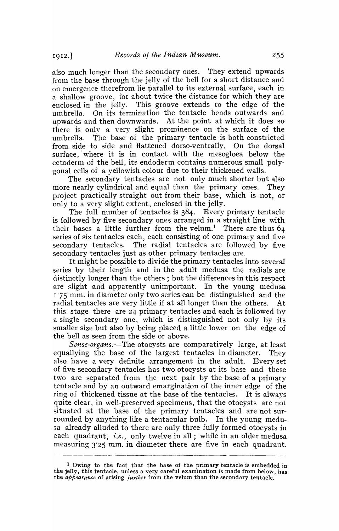also much longer than the secondary ones. They extend upwards from the base through the jelly of the bell for a short distance and on emergence therefrom lie parallel to its external surface, each in a shallow groove, for about twice the distance for which they are enclosed in the jelly. This groove extends to the edge of the umbrella. On its termination the tentacle bends outwards and upwards and then downwards. At the point at which it does so there is only a very slight prominence on the surface of the umbrella. The base of the primary tentacle is both constricted from side to side and flattened dorso-ventrally. On the dorsal surface, where it is in contact with the mesogloea below the ectoderm of the bell, its endoderm contains numerous sma1l polygonal cells of a yellowish colour due to their thickened walls.

The secondary tentacles are not only much shorter but also more nearly cylindrical and equal than the primary ones. They project practically straight out from their base, which is not, or only to a very slight extent, enclosed in the jelly.

The full number of tentacles is 384. Every primary tentacle is followed by five secondary ones arranged in a straight line with their bases a little further from the velum.<sup>1</sup> There are thus  $64$ series of six tentacles each, each consisting of one primary and five secondary tentacles. The radial tentacles are followed by five secondary tentacles just as other primary tentacles are.

It might be possible to divide the primary tentacles into several series by their length and in the adult medusa the radials are distinctly longer than the others; but the differences in this respect are slight and apparently unimportant. In the young medusa 1·75 mm. in diameter only two series can be distinguished and the radial tentacles are very little if at all longer than the others. At this stage there are 24 primary tentacles and each is followed by a single secondary one, which is distinguished not only by its smaller size but also by being placed a little lower on the edge of the bell as seen from the side or above.

*Sense-organs.*—The otocysts are comparatively large, at least equallying the base of the largest tentacles in diameter. They also have a very definite arrangement in the adult. Every set of five secondary tentacles has two otocysts at its base and these two are separated from the next pair by the base of a primary tentacle and by an outward emargination of the inner edge of the ring of thickened tissue at the base of the tentacles. It is always quite clear, in well-preserved specimens, that the otocysts are not situated at the base of the primary tentacles and are not surrounded by anything like a tentacular bulb. In the young medusa already alluded to there are only three fully formed otocysts in each quadrant, *i.e.,* only twelve in all; while in an older medusa measuring 3.25 mm. in diameter there are five in each quadrant.

lOwing to the fact that the base of the primary tentacle is embedded in the jelly, this tentacle, unless a very careful examination is made from below, has the *appearance* of arising *further* from the velum than the secondary tentacle.